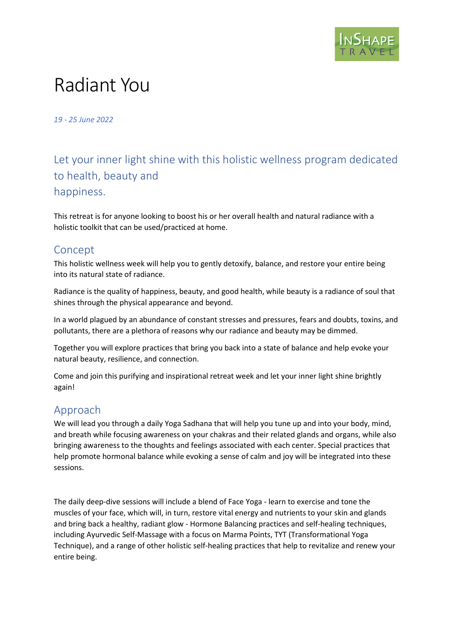

# Radiant You

19 - 25 June 2022

# Let your inner light shine with this holistic wellness program dedicated to health, beauty and happiness.

This retreat is for anyone looking to boost his or her overall health and natural radiance with a holistic toolkit that can be used/practiced at home.

## Concept

This holistic wellness week will help you to gently detoxify, balance, and restore your entire being into its natural state of radiance.

Radiance is the quality of happiness, beauty, and good health, while beauty is a radiance of soul that shines through the physical appearance and beyond.

In a world plagued by an abundance of constant stresses and pressures, fears and doubts, toxins, and pollutants, there are a plethora of reasons why our radiance and beauty may be dimmed.

Together you will explore practices that bring you back into a state of balance and help evoke your natural beauty, resilience, and connection.

Come and join this purifying and inspirational retreat week and let your inner light shine brightly again!

# Approach

We will lead you through a daily Yoga Sadhana that will help you tune up and into your body, mind, and breath while focusing awareness on your chakras and their related glands and organs, while also bringing awareness to the thoughts and feelings associated with each center. Special practices that help promote hormonal balance while evoking a sense of calm and joy will be integrated into these sessions.

The daily deep-dive sessions will include a blend of Face Yoga - learn to exercise and tone the muscles of your face, which will, in turn, restore vital energy and nutrients to your skin and glands and bring back a healthy, radiant glow - Hormone Balancing practices and self-healing techniques, including Ayurvedic Self-Massage with a focus on Marma Points, TYT (Transformational Yoga Technique), and a range of other holistic self-healing practices that help to revitalize and renew your entire being.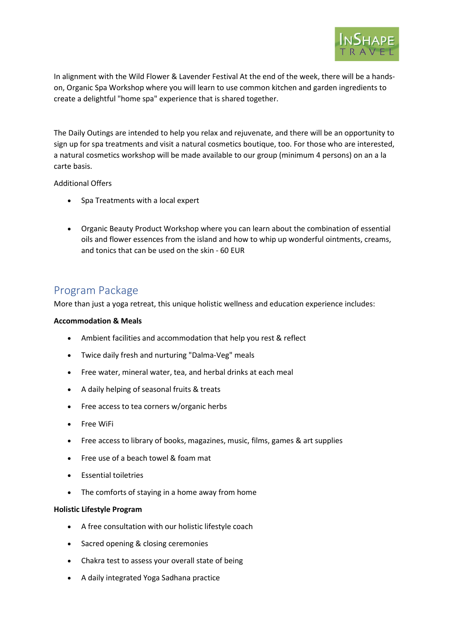

In alignment with the Wild Flower & Lavender Festival At the end of the week, there will be a handson, Organic Spa Workshop where you will learn to use common kitchen and garden ingredients to create a delightful "home spa" experience that is shared together.

The Daily Outings are intended to help you relax and rejuvenate, and there will be an opportunity to sign up for spa treatments and visit a natural cosmetics boutique, too. For those who are interested, a natural cosmetics workshop will be made available to our group (minimum 4 persons) on an a la carte basis.

#### Additional Offers

- Spa Treatments with a local expert
- Organic Beauty Product Workshop where you can learn about the combination of essential oils and flower essences from the island and how to whip up wonderful ointments, creams, and tonics that can be used on the skin - 60 EUR

### Program Package

More than just a yoga retreat, this unique holistic wellness and education experience includes:

#### Accommodation & Meals

- Ambient facilities and accommodation that help you rest & reflect
- Twice daily fresh and nurturing "Dalma-Veg" meals
- Free water, mineral water, tea, and herbal drinks at each meal
- A daily helping of seasonal fruits & treats
- Free access to tea corners w/organic herbs
- Free WiFi
- Free access to library of books, magazines, music, films, games & art supplies
- Free use of a beach towel & foam mat
- Essential toiletries
- The comforts of staying in a home away from home

#### Holistic Lifestyle Program

- A free consultation with our holistic lifestyle coach
- Sacred opening & closing ceremonies
- Chakra test to assess your overall state of being
- A daily integrated Yoga Sadhana practice